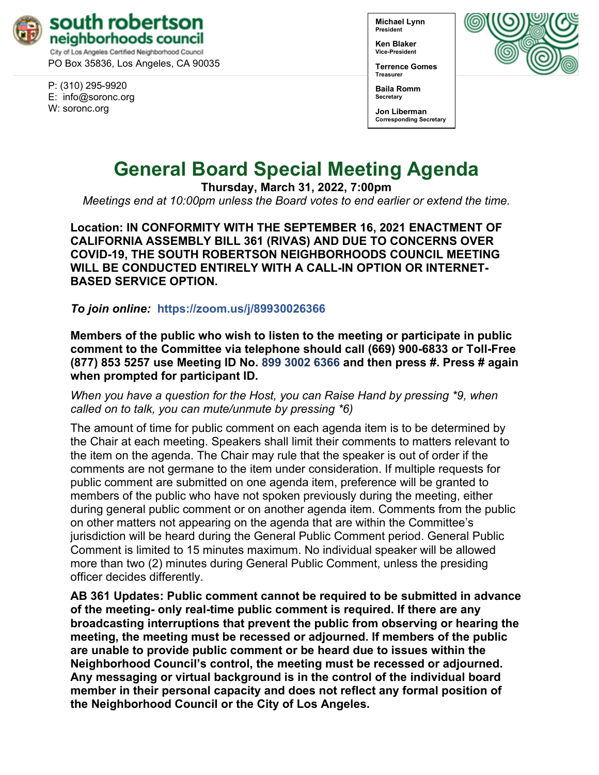

PO Box 35836, Los Angeles, CA 90035

P: (310) 295-9920 E: [info@soronc.org](mailto:info@soronc.org) W: soronc.org

**Michael Lynn President**

**Ken Blaker Vice-President**

**Terrence Gomes Treasurer**



**Baila Romm Secretary**

**Jon Liberman Corresponding Secretary**

# **General Board Special Meeting Agenda**

**Thursday, March 31, 2022, 7:00pm**

*Meetings end at 10:00pm unless the Board votes to end earlier or extend the time.*

**Location: IN CONFORMITY WITH THE SEPTEMBER 16, 2021 ENACTMENT OF CALIFORNIA ASSEMBLY BILL 361 (RIVAS) AND DUE TO CONCERNS OVER COVID-19, THE SOUTH ROBERTSON NEIGHBORHOODS COUNCIL MEETING WILL BE CONDUCTED ENTIRELY WITH A CALL-IN OPTION OR INTERNET-BASED SERVICE OPTION.**

*To join online:* **<https://zoom.us/j/89930026366>**

**Members of the public who wish to listen to the meeting or participate in public comment to the Committee via telephone should call (669) 900-6833 or Toll-Free (877) 853 5257 use Meeting ID No. 899 3002 6366 and then press #. Press # again when prompted for participant ID.** 

*When you have a question for the Host, you can Raise Hand by pressing \*9, when called on to talk, you can mute/unmute by pressing \*6)* 

The amount of time for public comment on each agenda item is to be determined by the Chair at each meeting. Speakers shall limit their comments to matters relevant to the item on the agenda. The Chair may rule that the speaker is out of order if the comments are not germane to the item under consideration. If multiple requests for public comment are submitted on one agenda item, preference will be granted to members of the public who have not spoken previously during the meeting, either during general public comment or on another agenda item. Comments from the public on other matters not appearing on the agenda that are within the Committee's jurisdiction will be heard during the General Public Comment period. General Public Comment is limited to 15 minutes maximum. No individual speaker will be allowed more than two (2) minutes during General Public Comment, unless the presiding officer decides differently.

**AB 361 Updates: Public comment cannot be required to be submitted in advance of the meeting- only real-time public comment is required. If there are any broadcasting interruptions that prevent the public from observing or hearing the meeting, the meeting must be recessed or adjourned. If members of the public are unable to provide public comment or be heard due to issues within the Neighborhood Council's control, the meeting must be recessed or adjourned. Any messaging or virtual background is in the control of the individual board member in their personal capacity and does not reflect any formal position of the Neighborhood Council or the City of Los Angeles.**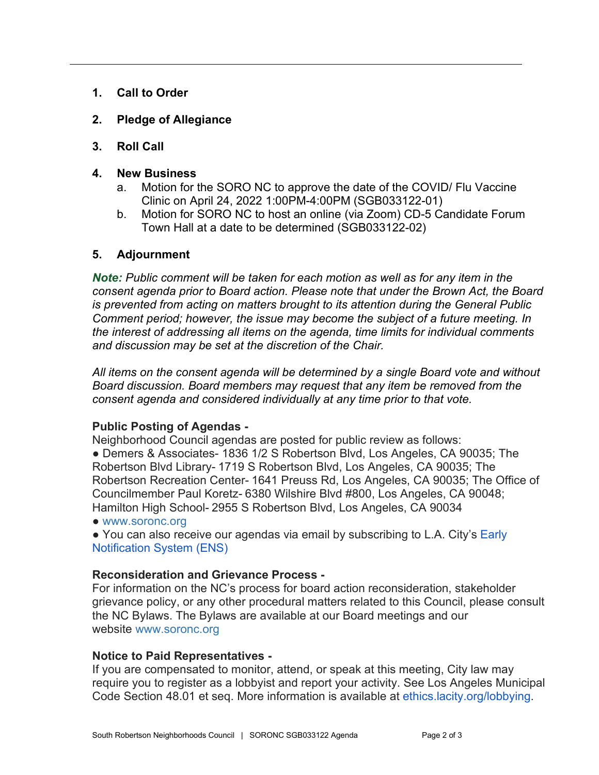- **1. Call to Order**
- **2. Pledge of Allegiance**
- **3. Roll Call**
- **4. New Business**
	- a. Motion for the SORO NC to approve the date of the COVID/ Flu Vaccine Clinic on April 24, 2022 1:00PM-4:00PM (SGB033122-01)
	- b. Motion for SORO NC to host an online (via Zoom) CD-5 Candidate Forum Town Hall at a date to be determined (SGB033122-02)

## **5. Adjournment**

*Note: Public comment will be taken for each motion as well as for any item in the consent agenda prior to Board action. Please note that under the Brown Act, the Board is prevented from acting on matters brought to its attention during the General Public Comment period; however, the issue may become the subject of a future meeting. In the interest of addressing all items on the agenda, time limits for individual comments and discussion may be set at the discretion of the Chair.*

*All items on the consent agenda will be determined by a single Board vote and without Board discussion. Board members may request that any item be removed from the consent agenda and considered individually at any time prior to that vote.*

### **Public Posting of Agendas -**

Neighborhood Council agendas are posted for public review as follows:

● Demers & Associates- 1836 1/2 S Robertson Blvd, Los Angeles, CA 90035; The Robertson Blvd Library- 1719 S Robertson Blvd, Los Angeles, CA 90035; The Robertson Recreation Center- 1641 Preuss Rd, Los Angeles, CA 90035; The Office of Councilmember Paul Koretz- 6380 Wilshire Blvd #800, Los Angeles, CA 90048; Hamilton High School- 2955 S Robertson Blvd, Los Angeles, CA 90034

● [www.soronc.org](http://www.soronc.org/)

● You can also receive our agendas via email by subscribing to L.A. City's Early [Notification System \(ENS\)](https://www.lacity.org/government/subscribe-agendasnotifications/neighborhood-councils)

### **Reconsideration and Grievance Process -**

For information on the NC's process for board action reconsideration, stakeholder grievance policy, or any other procedural matters related to this Council, please consult the NC Bylaws. The Bylaws are available at our Board meetings and our website [www.soronc.org](http://www.soronc.org/)

### **Notice to Paid Representatives -**

If you are compensated to monitor, attend, or speak at this meeting, City law may require you to register as a lobbyist and report your activity. See Los Angeles Municipal Code Section 48.01 et seq. More information is available at [ethics.lacity.org/lobbying.](http://ethics.lacity.org/lobbying)